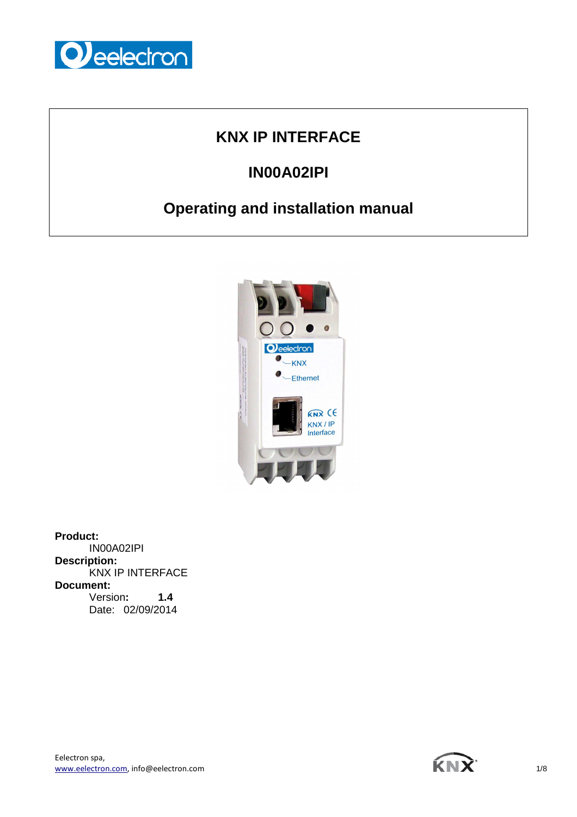

## **KNX IP INTERFACE**

# **IN00A02IPI**

# **Operating and installation manual**



**Product:**  IN00A02IPI **Description:**  KNX IP INTERFACE **Document:**  Version**: 1.4**  Date: 02/09/2014



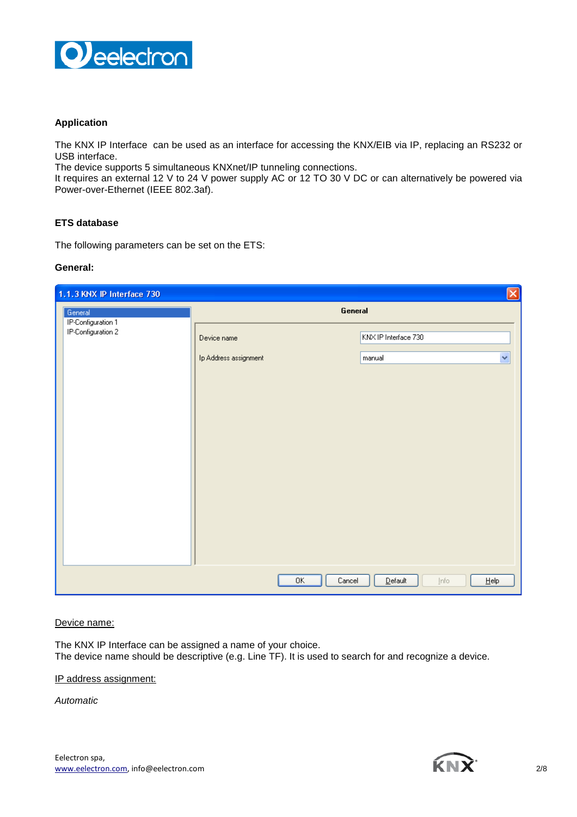

## **Application**

The KNX IP Interface can be used as an interface for accessing the KNX/EIB via IP, replacing an RS232 or USB interface.

The device supports 5 simultaneous KNXnet/IP tunneling connections.

It requires an external 12 V to 24 V power supply AC or 12 TO 30 V DC or can alternatively be powered via Power-over-Ethernet (IEEE 802.3af).

### **ETS database**

The following parameters can be set on the ETS:

#### **General:**

| $\boxtimes$<br>1.1.3 KNX IP Interface 730 |                       |                                       |
|-------------------------------------------|-----------------------|---------------------------------------|
| General                                   | General               |                                       |
| IP-Configuration 1<br>IP-Configuration 2  | Device name           | KNX IP Interface 730                  |
|                                           | Ip Address assignment | v<br>manual                           |
|                                           |                       |                                       |
|                                           |                       |                                       |
|                                           |                       |                                       |
|                                           |                       |                                       |
|                                           |                       |                                       |
|                                           |                       |                                       |
|                                           |                       |                                       |
|                                           |                       |                                       |
|                                           |                       |                                       |
|                                           | OK<br>Cancel          | $D$ efault<br>$He$ lp<br><u>I</u> nfo |

#### Device name:

The KNX IP Interface can be assigned a name of your choice. The device name should be descriptive (e.g. Line TF). It is used to search for and recognize a device.

#### IP address assignment:

Automatic

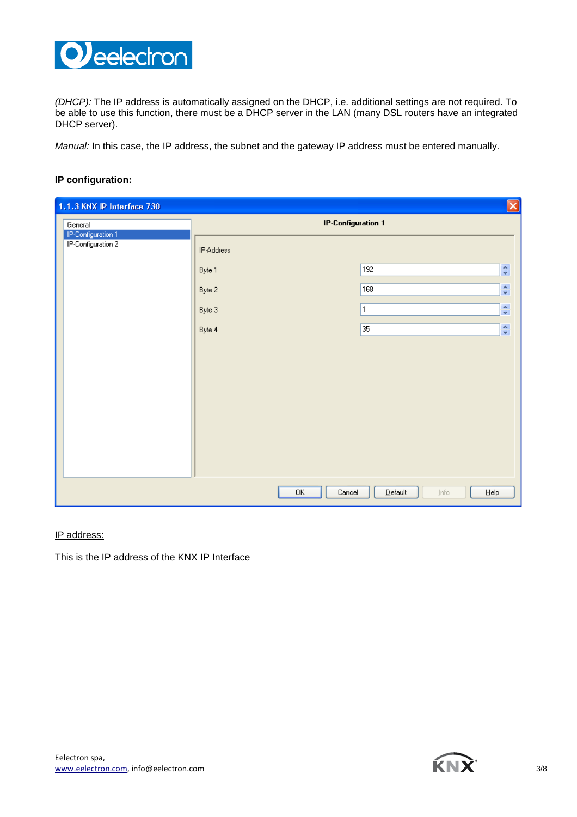

(DHCP): The IP address is automatically assigned on the DHCP, i.e. additional settings are not required. To be able to use this function, there must be a DHCP server in the LAN (many DSL routers have an integrated DHCP server).

Manual: In this case, the IP address, the subnet and the gateway IP address must be entered manually.

## **IP configuration:**

| $\boxed{\mathbf{X}}$<br>1.1.3 KNX IP Interface 730 |                           |                                                   |
|----------------------------------------------------|---------------------------|---------------------------------------------------|
| General                                            | <b>IP-Configuration 1</b> |                                                   |
| IP-Configuration 1<br>IP-Configuration 2           | IP-Address                |                                                   |
|                                                    | Byte 1                    | $\ddot{\bullet}$<br>192                           |
|                                                    | Byte 2                    | $\ddot{\bullet}$<br>168                           |
|                                                    | Byte 3                    | $\hat{\mathbf{v}}$<br>1                           |
|                                                    | Byte 4                    | $\blacktriangle$<br>35<br>$\mathbf{v}$            |
|                                                    |                           |                                                   |
|                                                    |                           |                                                   |
|                                                    |                           |                                                   |
|                                                    |                           |                                                   |
|                                                    |                           |                                                   |
|                                                    |                           |                                                   |
|                                                    |                           |                                                   |
|                                                    |                           |                                                   |
|                                                    | 0K<br>Cancel              | $D$ efault<br>$\underline{He}$ lp<br><u>I</u> nfo |

### IP address:

This is the IP address of the KNX IP Interface

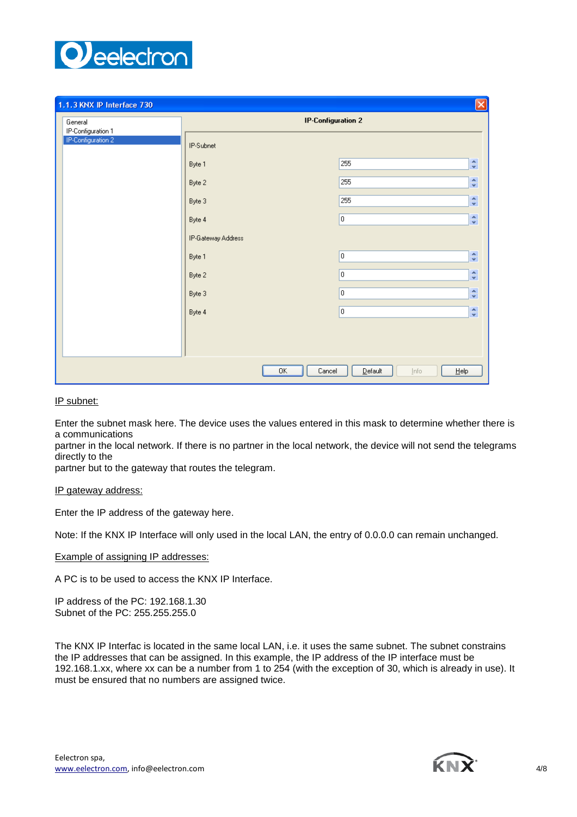

| 1.1.3 KNX IP Interface 730    |                           |                                        | $\vert\mathsf{x}\vert$           |
|-------------------------------|---------------------------|----------------------------------------|----------------------------------|
| General<br>IP-Configuration 1 | <b>IP-Configuration 2</b> |                                        |                                  |
| IP-Configuration 2            | IP-Subnet                 |                                        |                                  |
|                               | Byte 1                    | 255                                    | $\frac{\lambda}{\nu}$            |
|                               | Byte 2                    | 255                                    | $\mathbf{A}$<br>$\mathbf{v}$     |
|                               | Byte 3                    | 255                                    | $\frac{\lambda}{\nu}$            |
|                               | Byte 4                    | 0                                      | $\frac{\lambda}{\nu}$            |
|                               | IP-Gateway Address        |                                        |                                  |
|                               | Byte 1                    | O.                                     | $\ddot{\dot{}}$                  |
|                               | Byte 2                    | 0                                      | $\mathbf{A}$<br>$\mathbf{v}$     |
|                               | Byte 3                    | O.                                     | $\blacktriangle$<br>$\mathbf{v}$ |
|                               | Byte 4                    | O                                      | $\frac{\lambda}{\nu}$            |
|                               |                           |                                        |                                  |
|                               |                           |                                        |                                  |
|                               | 0K<br>Cancel              | Default<br>$\underline{He}$ lp<br>Info |                                  |

IP subnet:

Enter the subnet mask here. The device uses the values entered in this mask to determine whether there is a communications

partner in the local network. If there is no partner in the local network, the device will not send the telegrams directly to the

partner but to the gateway that routes the telegram.

#### IP gateway address:

Enter the IP address of the gateway here.

Note: If the KNX IP Interface will only used in the local LAN, the entry of 0.0.0.0 can remain unchanged.

Example of assigning IP addresses:

A PC is to be used to access the KNX IP Interface.

IP address of the PC: 192.168.1.30 Subnet of the PC: 255.255.255.0

The KNX IP Interfac is located in the same local LAN, i.e. it uses the same subnet. The subnet constrains the IP addresses that can be assigned. In this example, the IP address of the IP interface must be 192.168.1.xx, where xx can be a number from 1 to 254 (with the exception of 30, which is already in use). It must be ensured that no numbers are assigned twice.

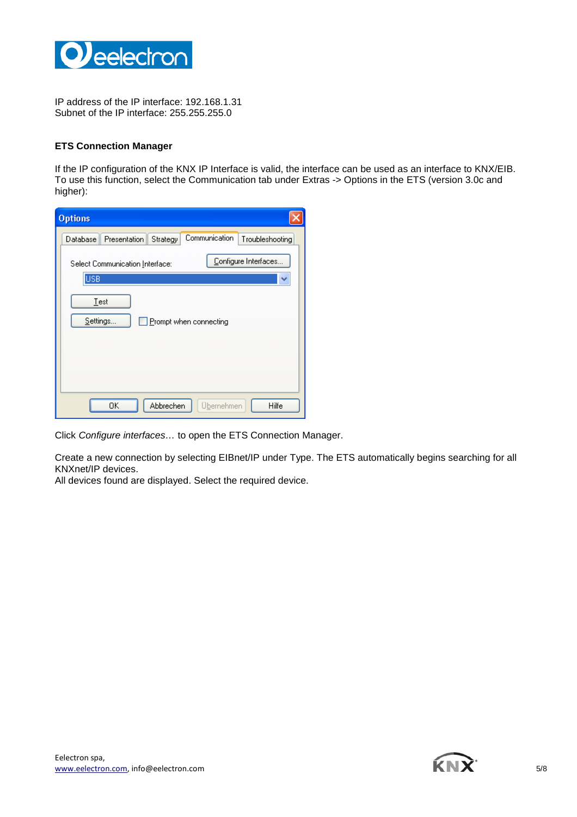

IP address of the IP interface: 192.168.1.31 Subnet of the IP interface: 255.255.255.0

### **ETS Connection Manager**

If the IP configuration of the KNX IP Interface is valid, the interface can be used as an interface to KNX/EIB. To use this function, select the Communication tab under Extras -> Options in the ETS (version 3.0c and higher):

| <b>Options</b>                                                           |  |
|--------------------------------------------------------------------------|--|
| Communication<br>Database<br>Presentation<br>Strategy<br>Troubleshooting |  |
| Configure Interfaces<br>Select Communication Interface:<br><b>USB</b>    |  |
| Test<br>Settings<br>Prompt when connecting                               |  |
| 0K<br>Abbrechen<br>Hilfe<br><u>Ubernehmen</u>                            |  |

Click Configure interfaces… to open the ETS Connection Manager.

Create a new connection by selecting EIBnet/IP under Type. The ETS automatically begins searching for all KNXnet/IP devices.

All devices found are displayed. Select the required device.

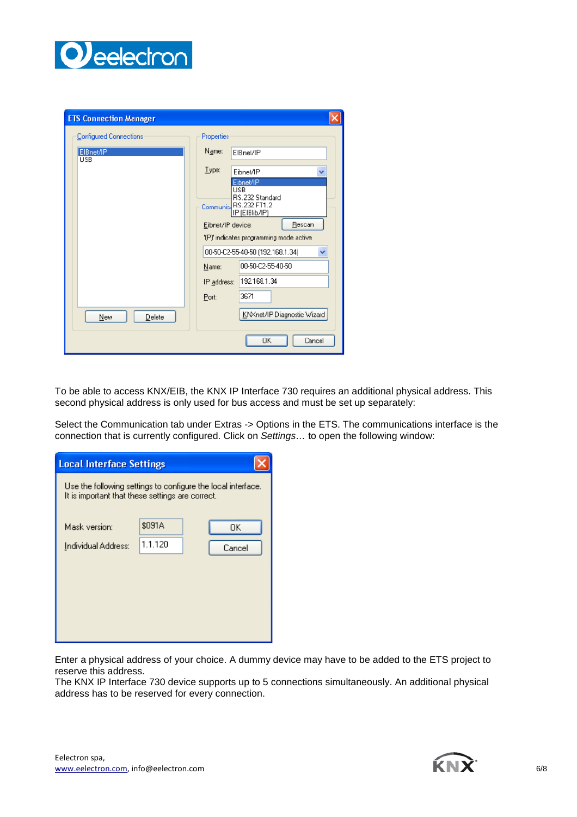

| <b>ETS Connection Manager</b> |                                                                                |
|-------------------------------|--------------------------------------------------------------------------------|
| <b>Configured Connections</b> | <b>Properties</b>                                                              |
| ElBnet/IP<br><b>USB</b>       | Name:<br>ElBnet/IP                                                             |
|                               | $I$ ype:<br>Eibnet/IP<br>v                                                     |
|                               | Eibnet/IP<br>USB<br>RS.232 Standard<br>Communic RS.232 FT1.2<br>IP (EIBlib/IP) |
|                               | Rescan<br>Eibnet/IP device:                                                    |
|                               | '(P)' indicates programming mode active                                        |
|                               | 00-50-C2-55-40-50 (192.168.1.34)<br>v                                          |
|                               | 00-50-C2-55-40-50<br>Name:                                                     |
|                               | IP address:   192.168.1.34                                                     |
|                               | 3671<br>Port:                                                                  |
| New<br>Delete                 | KNXnet/IP Diagnostic Wizard                                                    |
|                               | ŪΚ<br>Cancel                                                                   |

To be able to access KNX/EIB, the KNX IP Interface 730 requires an additional physical address. This second physical address is only used for bus access and must be set up separately:

Select the Communication tab under Extras -> Options in the ETS. The communications interface is the connection that is currently configured. Click on Settings… to open the following window:

| <b>Local Interface Settings</b>                                                                                  |         |        |
|------------------------------------------------------------------------------------------------------------------|---------|--------|
| Use the following settings to configure the local interface.<br>It is important that these settings are correct. |         |        |
| Mask version:                                                                                                    | \$091A  | OΚ     |
| Individual Address:                                                                                              | 1.1.120 | Cancel |
|                                                                                                                  |         |        |
|                                                                                                                  |         |        |
|                                                                                                                  |         |        |
|                                                                                                                  |         |        |

Enter a physical address of your choice. A dummy device may have to be added to the ETS project to reserve this address.

The KNX IP Interface 730 device supports up to 5 connections simultaneously. An additional physical address has to be reserved for every connection.

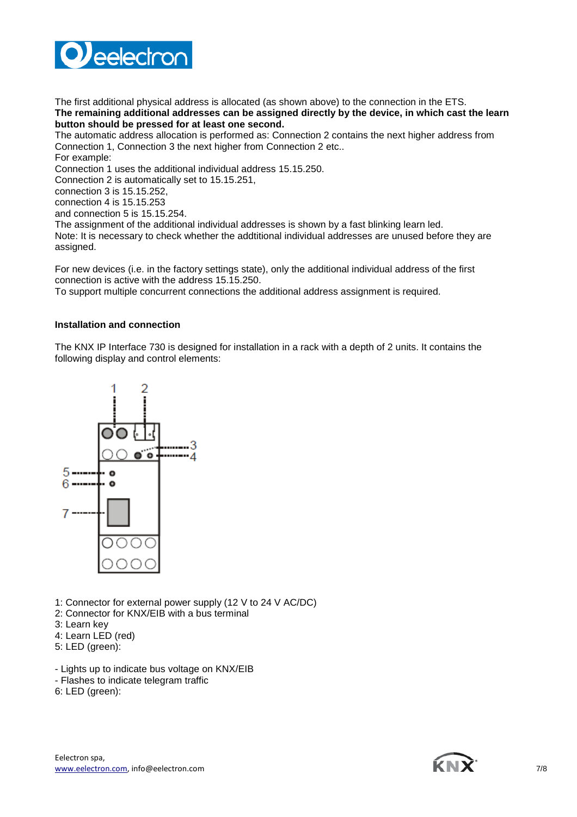

The first additional physical address is allocated (as shown above) to the connection in the ETS. **The remaining additional addresses can be assigned directly by the device, in which cast the learn button should be pressed for at least one second.**

The automatic address allocation is performed as: Connection 2 contains the next higher address from Connection 1, Connection 3 the next higher from Connection 2 etc.. For example:

Connection 1 uses the additional individual address 15.15.250.

Connection 2 is automatically set to 15.15.251,

connection 3 is 15.15.252,

connection 4 is 15.15.253

and connection 5 is 15.15.254.

The assignment of the additional individual addresses is shown by a fast blinking learn led. Note: It is necessary to check whether the addtitional individual addresses are unused before they are

assigned.

For new devices (i.e. in the factory settings state), only the additional individual address of the first connection is active with the address 15.15.250.

To support multiple concurrent connections the additional address assignment is required.

#### **Installation and connection**

The KNX IP Interface 730 is designed for installation in a rack with a depth of 2 units. It contains the following display and control elements:



1: Connector for external power supply (12 V to 24 V AC/DC)

- 2: Connector for KNX/EIB with a bus terminal
- 3: Learn key
- 4: Learn LED (red)
- 5: LED (green):
- Lights up to indicate bus voltage on KNX/EIB
- Flashes to indicate telegram traffic
- 6: LED (green):